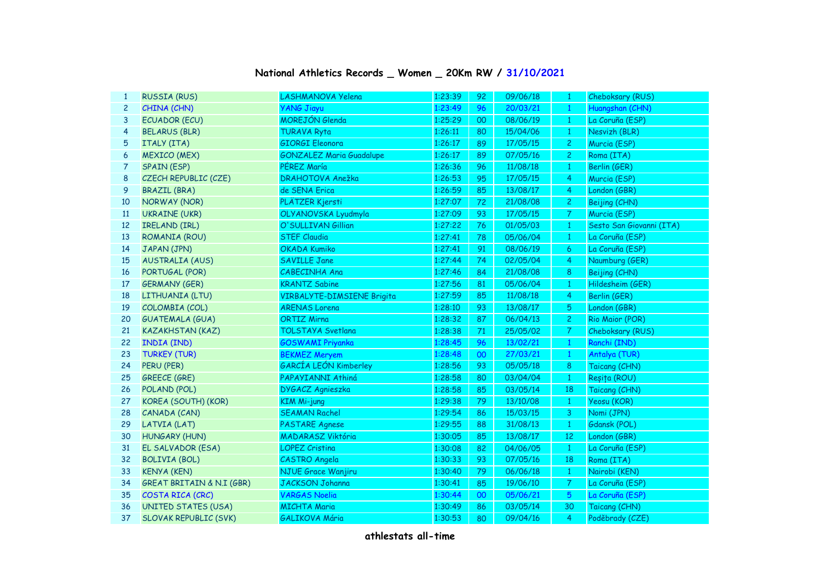## **National Athletics Records \_ Women \_ 20Km RW / 31/10/2021**

| 1  | <b>RUSSIA (RUS)</b>        | LASHMANOVA Yelena                 | 1:23:39 | 92 | 09/06/18 | $\mathbf{1}$    | Cheboksary (RUS)         |
|----|----------------------------|-----------------------------------|---------|----|----------|-----------------|--------------------------|
| 2  | CHINA (CHN)                | <b>YANG Jiayu</b>                 | 1:23:49 | 96 | 20/03/21 | $\mathbf{1}$    | Huangshan (CHN)          |
| 3  | <b>ECUADOR (ECU)</b>       | MOREJÓN Glenda                    | 1:25:29 | 00 | 08/06/19 | $\mathbf{1}$    | La Coruña (ESP)          |
| 4  | <b>BELARUS (BLR)</b>       | <b>TURAVA Ryta</b>                | 1:26:11 | 80 | 15/04/06 | $\mathbf{1}$    | Nesvizh (BLR)            |
| 5  | ITALY (ITA)                | <b>GIORGI Eleonora</b>            | 1:26:17 | 89 | 17/05/15 | $\mathbf{2}$    | Murcia (ESP)             |
| 6  | <b>MEXICO (MEX)</b>        | <b>GONZALEZ Maria Guadalupe</b>   | 1:26:17 | 89 | 07/05/16 | $\overline{c}$  | Roma (ITA)               |
| 7  | <b>SPAIN (ESP)</b>         | PÉREZ María                       | 1:26:36 | 96 | 11/08/18 | $\mathbf{1}$    | Berlin (GER)             |
| 8  | CZECH REPUBLIC (CZE)       | DRAHOTOVA Anežka                  | 1:26:53 | 95 | 17/05/15 | $\overline{4}$  | Murcia (ESP)             |
| 9  | <b>BRAZIL (BRA)</b>        | de SENA Erica                     | 1:26:59 | 85 | 13/08/17 | 4               | London (GBR)             |
| 10 | NORWAY (NOR)               | PLÄTZER Kjersti                   | 1:27:07 | 72 | 21/08/08 | $\mathbf{2}$    | Beijing (CHN)            |
| 11 | <b>UKRAINE (UKR)</b>       | OLYANOVSKA Lyudmyla               | 1:27:09 | 93 | 17/05/15 | 7               | Murcia (ESP)             |
| 12 | IRELAND (IRL)              | O'SULLIVAN Gillian                | 1:27:22 | 76 | 01/05/03 | $\mathbf{1}$    | Sesto San Giovanni (ITA) |
| 13 | ROMANIA (ROU)              | <b>STEF Claudia</b>               | 1:27:41 | 78 | 05/06/04 | $\mathbf{1}$    | La Coruña (ESP)          |
| 14 | JAPAN (JPN)                | <b>OKADA Kumiko</b>               | 1:27:41 | 91 | 08/06/19 | 6               | La Coruña (ESP)          |
| 15 | <b>AUSTRALIA (AUS)</b>     | <b>SAVILLE Jane</b>               | 1:27:44 | 74 | 02/05/04 | 4               | Naumburg (GER)           |
| 16 | PORTUGAL (POR)             | CABECINHA Ana                     | 1:27:46 | 84 | 21/08/08 | 8               | Beijing (CHN)            |
| 17 | <b>GERMANY (GER)</b>       | <b>KRANTZ Sabine</b>              | 1:27:56 | 81 | 05/06/04 | $\mathbf{1}$    | Hildesheim (GER)         |
| 18 | LITHUANIA (LTU)            | <b>VIRBALYTE-DIMSIENE Brigita</b> | 1:27:59 | 85 | 11/08/18 | 4               | Berlin (GER)             |
| 19 | COLOMBIA (COL)             | <b>ARENAS Lorena</b>              | 1:28:10 | 93 | 13/08/17 | 5               | London (GBR)             |
| 20 | <b>GUATEMALA (GUA)</b>     | <b>ORTIZ Mirna</b>                | 1:28:32 | 87 | 06/04/13 | $\overline{c}$  | Rio Maior (POR)          |
| 21 | <b>KAZAKHSTAN (KAZ)</b>    | <b>TOLSTAYA Svetlana</b>          | 1:28:38 | 71 | 25/05/02 | $\overline{7}$  | Cheboksary (RUS)         |
| 22 | <b>INDIA (IND)</b>         | <b>GOSWAMI Priyanka</b>           | 1:28:45 | 96 | 13/02/21 | $\mathbf{1}$    | Ranchi (IND)             |
| 23 | <b>TURKEY (TUR)</b>        | <b>BEKMEZ Meryem</b>              | 1:28:48 | 00 | 27/03/21 | $\mathbf{1}$    | Antalya (TUR)            |
| 24 | PERU (PER)                 | GARCÍA LEÓN Kimberley             | 1:28:56 | 93 | 05/05/18 | 8               | Taicang (CHN)            |
| 25 | <b>GREECE (GRE)</b>        | PAPAYIANNI Athiná                 | 1:28:58 | 80 | 03/04/04 | $\mathbf{1}$    | Reșița (ROU)             |
| 26 | POLAND (POL)               | DYGACZ Agnieszka                  | 1:28:58 | 85 | 03/05/14 | 18              | Taicang (CHN)            |
| 27 | KOREA (SOUTH) (KOR)        | <b>KIM Mi-jung</b>                | 1:29:38 | 79 | 13/10/08 | $\mathbf{1}$    | Yeosu (KOR)              |
| 28 | CANADA (CAN)               | <b>SEAMAN Rachel</b>              | 1:29:54 | 86 | 15/03/15 | 3               | Nomi (JPN)               |
| 29 | LATVIA (LAT)               | <b>PASTARE Agnese</b>             | 1:29:55 | 88 | 31/08/13 | $\mathbf{1}$    | Gdansk (POL)             |
| 30 | <b>HUNGARY (HUN)</b>       | <b>MADARASZ Viktória</b>          | 1:30:05 | 85 | 13/08/17 | 12              | London (GBR)             |
| 31 | EL SALVADOR (ESA)          | <b>LOPEZ Cristina</b>             | 1:30:08 | 82 | 04/06/05 | $\mathbf{1}$    | La Coruña (ESP)          |
| 32 | <b>BOLIVIA (BOL)</b>       | CASTRO Angela                     | 1:30:33 | 93 | 07/05/16 | 18              | Roma (ITA)               |
| 33 | <b>KENYA (KEN)</b>         | <b>NJUE Grace Wanjiru</b>         | 1:30:40 | 79 | 06/06/18 | $\mathbf{1}$    | Nairobi (KEN)            |
| 34 | GREAT BRITAIN & N.I (GBR)  | <b>JACKSON Johanna</b>            | 1:30:41 | 85 | 19/06/10 | $\overline{7}$  | La Coruña (ESP)          |
| 35 | COSTA RICA (CRC)           | <b>VARGAS Noelia</b>              | 1:30:44 | 00 | 05/06/21 | $5\phantom{.0}$ | La Coruña (ESP)          |
| 36 | <b>UNITED STATES (USA)</b> | <b>MICHTA Maria</b>               | 1:30:49 | 86 | 03/05/14 | 30              | Taicang (CHN)            |
| 37 | SLOVAK REPUBLIC (SVK)      | <b>GALIKOVA Mária</b>             | 1:30:53 | 80 | 09/04/16 | 4               | Poděbrady (CZE)          |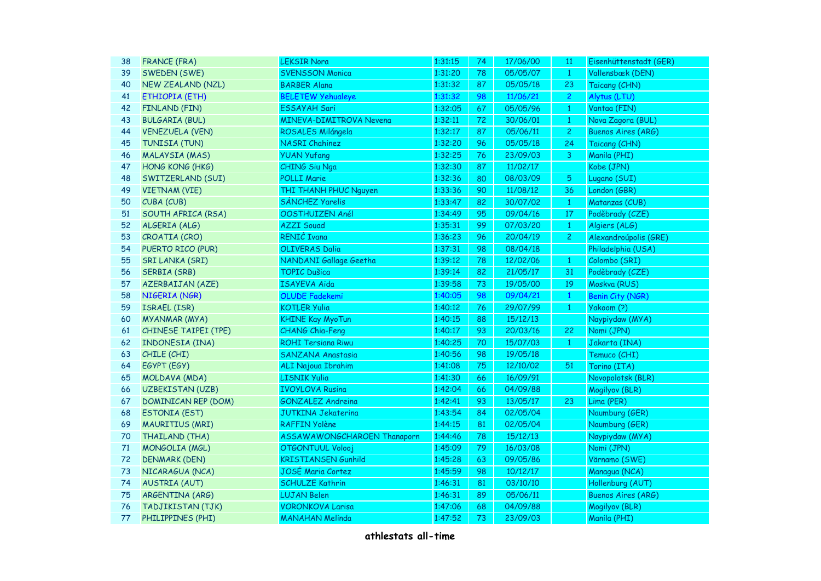| 38 | <b>FRANCE (FRA)</b>        | <b>LEKSIR Nora</b>             | 1:31:15 | 74 | 17/06/00 | 11              | Eisenhüttenstadt (GER)    |
|----|----------------------------|--------------------------------|---------|----|----------|-----------------|---------------------------|
| 39 | SWEDEN (SWE)               | <b>SVENSSON Monica</b>         | 1:31:20 | 78 | 05/05/07 | $\mathbf{1}$    | Vallensbæk (DEN)          |
| 40 | <b>NEW ZEALAND (NZL)</b>   | <b>BARBER Alana</b>            | 1:31:32 | 87 | 05/05/18 | 23              | Taicang (CHN)             |
| 41 | ETHIOPIA (ETH)             | <b>BELETEW Yehualeye</b>       | 1:31:32 | 98 | 11/06/21 | $\overline{c}$  | Alytus (LTU)              |
| 42 | FINLAND (FIN)              | <b>ESSAYAH Sari</b>            | 1:32:05 | 67 | 05/05/96 | $\mathbf{1}$    | Vantaa (FIN)              |
| 43 | <b>BULGARIA (BUL)</b>      | <b>MINEVA-DIMITROVA Nevena</b> | 1:32:11 | 72 | 30/06/01 | $\mathbf{1}$    | Nova Zagora (BUL)         |
| 44 | <b>VENEZUELA (VEN)</b>     | ROSALES Milángela              | 1:32:17 | 87 | 05/06/11 | $\overline{2}$  | <b>Buenos Aires (ARG)</b> |
| 45 | TUNISIA (TUN)              | <b>NASRI Chahinez</b>          | 1:32:20 | 96 | 05/05/18 | 24              | Taicang (CHN)             |
| 46 | <b>MALAYSIA (MAS)</b>      | <b>YUAN Yufang</b>             | 1:32:25 | 76 | 23/09/03 | $\overline{3}$  | Manila (PHI)              |
| 47 | HONG KONG (HKG)            | <b>CHING Siu Nga</b>           | 1:32:30 | 87 | 11/02/17 |                 | Kobe (JPN)                |
| 48 | SWITZERLAND (SUI)          | <b>POLLI Marie</b>             | 1:32:36 | 80 | 08/03/09 | $5\overline{)}$ | Lugano (SUI)              |
| 49 | VIETNAM (VIE)              | THI THANH PHUC Nguyen          | 1:33:36 | 90 | 11/08/12 | 36              | London (GBR)              |
| 50 | CUBA (CUB)                 | SÁNCHEZ Yarelis                | 1:33:47 | 82 | 30/07/02 | $\mathbf{1}$    | Matanzas (CUB)            |
| 51 | SOUTH AFRICA (RSA)         | OOSTHUIZEN Anél                | 1:34:49 | 95 | 09/04/16 | 17              | Poděbrady (CZE)           |
| 52 | ALGERIA (ALG)              | <b>AZZI Souad</b>              | 1:35:31 | 99 | 07/03/20 | $\mathbf{1}$    | Algiers (ALG)             |
| 53 | CROATIA (CRO)              | RENIĆ Ivana                    | 1:36:23 | 96 | 20/04/19 | $\overline{c}$  | Alexandroúpolis (GRE)     |
| 54 | PUERTO RICO (PUR)          | <b>OLIVERAS Dalia</b>          | 1:37:31 | 98 | 08/04/18 |                 | Philadelphia (USA)        |
| 55 | <b>SRI LANKA (SRI)</b>     | NANDANI Gallage Geetha         | 1:39:12 | 78 | 12/02/06 | $\mathbf{1}$    | Colombo (SRI)             |
| 56 | <b>SERBIA (SRB)</b>        | <b>TOPIC Dušica</b>            | 1:39:14 | 82 | 21/05/17 | 31              | Poděbrady (CZE)           |
| 57 | <b>AZERBAIJAN (AZE)</b>    | <b>ISAYEVA Aida</b>            | 1:39:58 | 73 | 19/05/00 | 19              | Moskva (RUS)              |
| 58 | NIGERIA (NGR)              | <b>OLUDE Fadekemi</b>          | 1:40:05 | 98 | 09/04/21 | $\mathbf{1}$    | <b>Benin City (NGR)</b>   |
| 59 | ISRAEL (ISR)               | <b>KOTLER Yulia</b>            | 1:40:12 | 76 | 29/07/99 | $\mathbf{1}$    | Yakoom (?)                |
| 60 | <b>MYANMAR (MYA)</b>       | <b>KHINE Kay MyoTun</b>        | 1:40:15 | 88 | 15/12/13 |                 | Naypiydaw (MYA)           |
| 61 | CHINESE TAIPEI (TPE)       | <b>CHANG Chia-Feng</b>         | 1:40:17 | 93 | 20/03/16 | 22              | Nomi (JPN)                |
| 62 | INDONESIA (INA)            | <b>ROHI Tersiana Riwu</b>      | 1:40:25 | 70 | 15/07/03 | $\mathbf{1}$    | Jakarta (INA)             |
| 63 | CHILE (CHI)                | SANZANA Anastasia              | 1:40:56 | 98 | 19/05/18 |                 | Temuco (CHI)              |
| 64 | EGYPT (EGY)                | <b>ALI Najoua Ibrahim</b>      | 1:41:08 | 75 | 12/10/02 | 51              | Torino (ITA)              |
| 65 | MOLDAVA (MDA)              | <b>LISNIK Yulia</b>            | 1:41:30 | 66 | 16/09/91 |                 | Novopolotsk (BLR)         |
| 66 | <b>UZBEKISTAN (UZB)</b>    | <b>IVOYLOVA Rusina</b>         | 1:42:04 | 66 | 04/09/88 |                 | Mogilyov (BLR)            |
| 67 | <b>DOMINICAN REP (DOM)</b> | <b>GONZALEZ Andreina</b>       | 1:42:41 | 93 | 13/05/17 | 23              | Lima (PER)                |
| 68 | <b>ESTONIA (EST)</b>       | <b>JUTKINA Jekaterina</b>      | 1:43:54 | 84 | 02/05/04 |                 | Naumburg (GER)            |
| 69 | <b>MAURITIUS (MRI)</b>     | <b>RAFFIN Yolène</b>           | 1:44:15 | 81 | 02/05/04 |                 | Naumburg (GER)            |
| 70 | THAILAND (THA)             | ASSAWAWONGCHAROEN Thanaporn    | 1:44:46 | 78 | 15/12/13 |                 | Naypiydaw (MYA)           |
| 71 | MONGOLIA (MGL)             | <b>OTGONTUUL Volooj</b>        | 1:45:09 | 79 | 16/03/08 |                 | Nomi (JPN)                |
| 72 | <b>DENMARK (DEN)</b>       | <b>KRISTIANSEN Gunhild</b>     | 1:45:28 | 63 | 09/05/86 |                 | Värnamo (SWE)             |
| 73 | NICARAGUA (NCA)            | JOSÉ Maria Cortez              | 1:45:59 | 98 | 10/12/17 |                 | Managua (NCA)             |
| 74 | <b>AUSTRIA (AUT)</b>       | <b>SCHULZE Kathrin</b>         | 1:46:31 | 81 | 03/10/10 |                 | Hollenburg (AUT)          |
| 75 | ARGENTINA (ARG)            | <b>LUJAN Belen</b>             | 1:46:31 | 89 | 05/06/11 |                 | <b>Buenos Aires (ARG)</b> |
| 76 | TADJIKISTAN (TJK)          | <b>VORONKOVA Larisa</b>        | 1:47:06 | 68 | 04/09/88 |                 | Mogilyov (BLR)            |
| 77 | PHILIPPINES (PHI)          | <b>MANAHAN Melinda</b>         | 1:47:52 | 73 | 23/09/03 |                 | Manila (PHI)              |